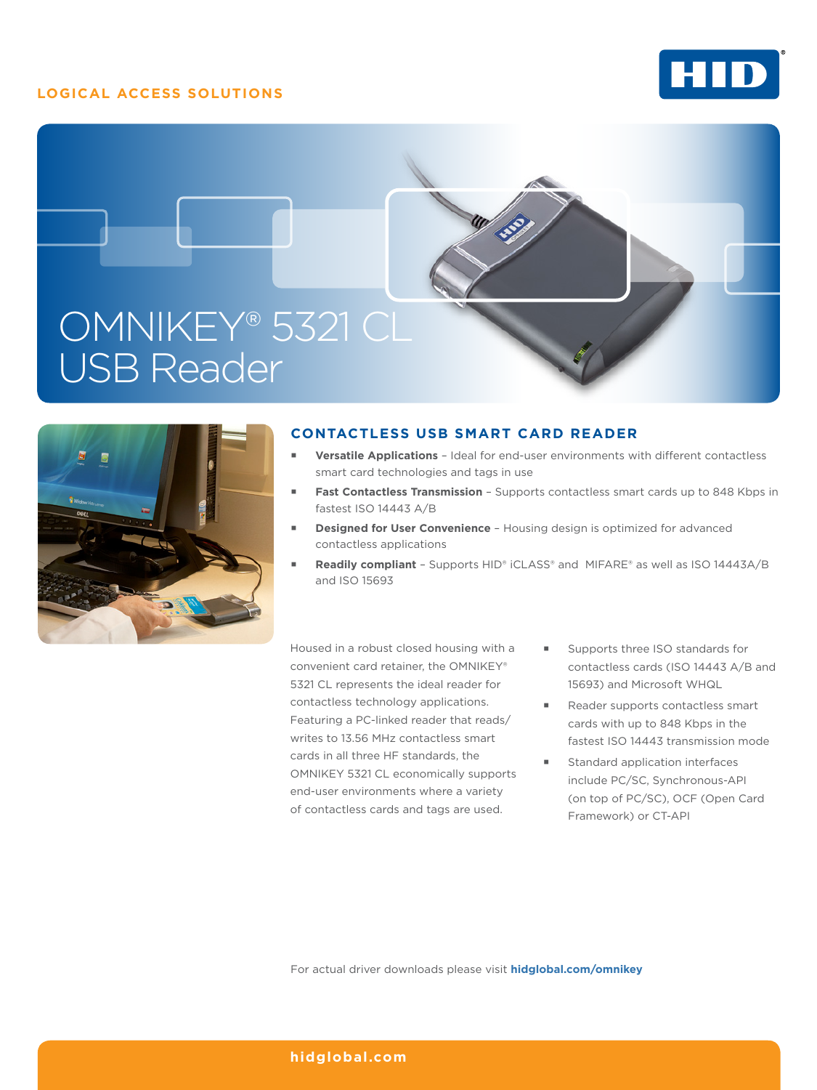## **LOGICAL ACCESS SOLUTIONS**







## **CONTACTLESS USB SMART CARD READER**

- **Versatile Applications**  Ideal for end-user environments with different contactless smart card technologies and tags in use
- Fast Contactless Transmission Supports contactless smart cards up to 848 Kbps in fastest ISO 14443 A/B
- **Designed for User Convenience**  Housing design is optimized for advanced contactless applications
- **Readily compliant**  Supports HID® iCLASS® and MIFARE® as well as ISO 14443A/B and ISO 15693

Housed in a robust closed housing with a convenient card retainer, the OMNIKEY® 5321 CL represents the ideal reader for contactless technology applications. Featuring a PC-linked reader that reads/ writes to 13.56 MHz contactless smart cards in all three HF standards, the OMNIKEY 5321 CL economically supports end-user environments where a variety of contactless cards and tags are used.

- Supports three ISO standards for contactless cards (ISO 14443 A/B and 15693) and Microsoft WHQL
- Reader supports contactless smart cards with up to 848 Kbps in the fastest ISO 14443 transmission mode
- Standard application interfaces include PC/SC, Synchronous-API (on top of PC/SC), OCF (Open Card Framework) or CT-API

For actual driver downloads please visit **hidglobal.com/omnikey**

### **hidglobal.com**